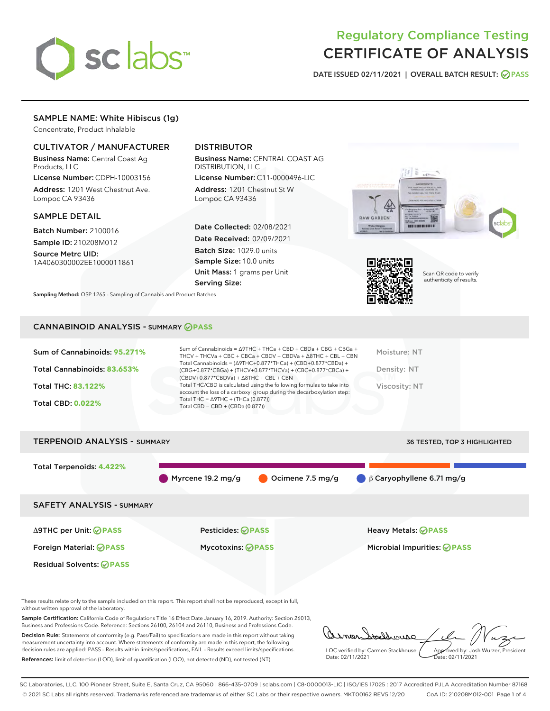

# Regulatory Compliance Testing CERTIFICATE OF ANALYSIS

DATE ISSUED 02/11/2021 | OVERALL BATCH RESULT: @ PASS

# SAMPLE NAME: White Hibiscus (1g)

Concentrate, Product Inhalable

# CULTIVATOR / MANUFACTURER

Business Name: Central Coast Ag Products, LLC

License Number: CDPH-10003156 Address: 1201 West Chestnut Ave. Lompoc CA 93436

## SAMPLE DETAIL

Batch Number: 2100016 Sample ID: 210208M012

Source Metrc UID: 1A4060300002EE1000011861

# DISTRIBUTOR

Business Name: CENTRAL COAST AG DISTRIBUTION, LLC

License Number: C11-0000496-LIC Address: 1201 Chestnut St W Lompoc CA 93436

Date Collected: 02/08/2021 Date Received: 02/09/2021 Batch Size: 1029.0 units Sample Size: 10.0 units Unit Mass: 1 grams per Unit

Serving Size: Sampling Method: QSP 1265 - Sampling of Cannabis and Product Batches





Scan QR code to verify authenticity of results.

# CANNABINOID ANALYSIS - SUMMARY **PASS**

| Sum of Cannabinoids: 95.271% | Sum of Cannabinoids = $\triangle$ 9THC + THCa + CBD + CBDa + CBG + CBGa +<br>THCV + THCVa + CBC + CBCa + CBDV + CBDVa + $\Delta$ 8THC + CBL + CBN                                    | Moisture: NT  |
|------------------------------|--------------------------------------------------------------------------------------------------------------------------------------------------------------------------------------|---------------|
| Total Cannabinoids: 83.653%  | Total Cannabinoids = $(\Delta 9THC+0.877*THCa) + (CBD+0.877*CBDa) +$<br>(CBG+0.877*CBGa) + (THCV+0.877*THCVa) + (CBC+0.877*CBCa) +<br>$(CBDV+0.877*CBDVa) + \Delta 8THC + CBL + CBN$ | Density: NT   |
| <b>Total THC: 83.122%</b>    | Total THC/CBD is calculated using the following formulas to take into<br>account the loss of a carboxyl group during the decarboxylation step:                                       | Viscosity: NT |
| <b>Total CBD: 0.022%</b>     | Total THC = $\triangle$ 9THC + (THCa (0.877))<br>Total CBD = CBD + (CBDa (0.877))                                                                                                    |               |
|                              |                                                                                                                                                                                      |               |

| <b>TERPENOID ANALYSIS - SUMMARY</b>                                                         |                                                      |                  |                                                                   | <b>36 TESTED, TOP 3 HIGHLIGHTED</b> |
|---------------------------------------------------------------------------------------------|------------------------------------------------------|------------------|-------------------------------------------------------------------|-------------------------------------|
| Total Terpenoids: 4.422%                                                                    | Myrcene 19.2 mg/g                                    | Ocimene 7.5 mg/g | $\beta$ Caryophyllene 6.71 mg/g                                   |                                     |
| <b>SAFETY ANALYSIS - SUMMARY</b>                                                            |                                                      |                  |                                                                   |                                     |
| ∆9THC per Unit: ⊘PASS<br>Foreign Material: <b>⊘ PASS</b><br><b>Residual Solvents: ⊘PASS</b> | <b>Pesticides: ⊘PASS</b><br><b>Mycotoxins: ⊘PASS</b> |                  | <b>Heavy Metals: ⊘ PASS</b><br>Microbial Impurities: <b>OPASS</b> |                                     |
|                                                                                             |                                                      |                  |                                                                   |                                     |

These results relate only to the sample included on this report. This report shall not be reproduced, except in full, without written approval of the laboratory.

Sample Certification: California Code of Regulations Title 16 Effect Date January 16, 2019. Authority: Section 26013, Business and Professions Code. Reference: Sections 26100, 26104 and 26110, Business and Professions Code.

Decision Rule: Statements of conformity (e.g. Pass/Fail) to specifications are made in this report without taking measurement uncertainty into account. Where statements of conformity are made in this report, the following decision rules are applied: PASS – Results within limits/specifications, FAIL – Results exceed limits/specifications. References: limit of detection (LOD), limit of quantification (LOQ), not detected (ND), not tested (NT)

armer tachbourg LQC verified by: Carmen Stackhouse Approved by: Josh Wurzer, President Date: 02/11/2021 Date: 02/11/2021

SC Laboratories, LLC. 100 Pioneer Street, Suite E, Santa Cruz, CA 95060 | 866-435-0709 | sclabs.com | C8-0000013-LIC | ISO/IES 17025 : 2017 Accredited PJLA Accreditation Number 87168 © 2021 SC Labs all rights reserved. Trademarks referenced are trademarks of either SC Labs or their respective owners. MKT00162 REV5 12/20 CoA ID: 210208M012-001 Page 1 of 4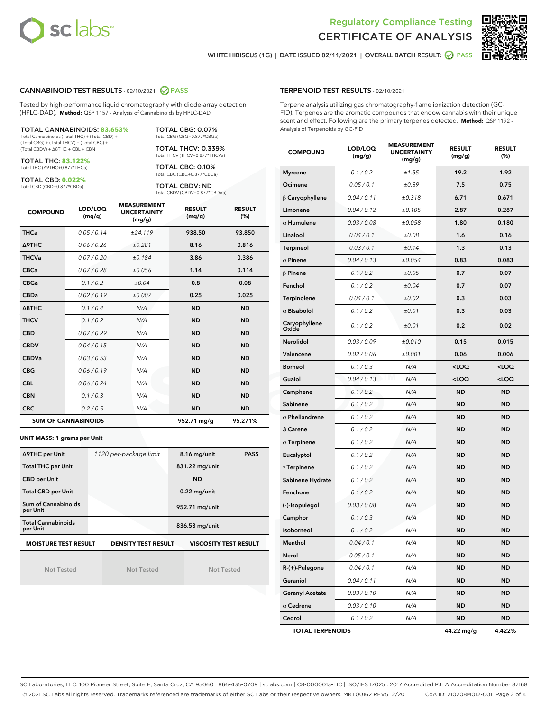



WHITE HIBISCUS (1G) | DATE ISSUED 02/11/2021 | OVERALL BATCH RESULT: **○** PASS

## CANNABINOID TEST RESULTS - 02/10/2021 2 PASS

Tested by high-performance liquid chromatography with diode-array detection (HPLC-DAD). **Method:** QSP 1157 - Analysis of Cannabinoids by HPLC-DAD

TOTAL CANNABINOIDS: **83.653%** Total Cannabinoids (Total THC) + (Total CBD) + (Total CBG) + (Total THCV) + (Total CBC) +

(Total CBDV) + ∆8THC + CBL + CBN TOTAL THC: **83.122%**

Total THC (∆9THC+0.877\*THCa)

TOTAL CBD: **0.022%** Total CBD (CBD+0.877\*CBDa)

Total THCV (THCV+0.877\*THCVa) TOTAL CBC: 0.10% Total CBC (CBC+0.877\*CBCa)

TOTAL CBG: 0.07% Total CBG (CBG+0.877\*CBGa) TOTAL THCV: 0.339%

TOTAL CBDV: ND Total CBDV (CBDV+0.877\*CBDVa)

| <b>COMPOUND</b>            | LOD/LOQ<br>(mg/g) | <b>MEASUREMENT</b><br><b>UNCERTAINTY</b><br>(mg/g) | <b>RESULT</b><br>(mg/g) | <b>RESULT</b><br>(%) |
|----------------------------|-------------------|----------------------------------------------------|-------------------------|----------------------|
| <b>THCa</b>                | 0.05/0.14         | ±24.119                                            | 938.50                  | 93.850               |
| <b>A9THC</b>               | 0.06 / 0.26       | ±0.281                                             | 8.16                    | 0.816                |
| <b>THCVa</b>               | 0.07/0.20         | ±0.184                                             | 3.86                    | 0.386                |
| <b>CBCa</b>                | 0.07/0.28         | ±0.056                                             | 1.14                    | 0.114                |
| <b>CBGa</b>                | 0.1 / 0.2         | ±0.04                                              | 0.8                     | 0.08                 |
| <b>CBDa</b>                | 0.02/0.19         | ±0.007                                             | 0.25                    | 0.025                |
| Δ8THC                      | 0.1/0.4           | N/A                                                | <b>ND</b>               | <b>ND</b>            |
| <b>THCV</b>                | 0.1 / 0.2         | N/A                                                | <b>ND</b>               | <b>ND</b>            |
| <b>CBD</b>                 | 0.07/0.29         | N/A                                                | <b>ND</b>               | <b>ND</b>            |
| <b>CBDV</b>                | 0.04 / 0.15       | N/A                                                | <b>ND</b>               | <b>ND</b>            |
| <b>CBDVa</b>               | 0.03/0.53         | N/A                                                | <b>ND</b>               | <b>ND</b>            |
| <b>CBG</b>                 | 0.06/0.19         | N/A                                                | <b>ND</b>               | <b>ND</b>            |
| <b>CBL</b>                 | 0.06 / 0.24       | N/A                                                | <b>ND</b>               | <b>ND</b>            |
| <b>CBN</b>                 | 0.1/0.3           | N/A                                                | <b>ND</b>               | <b>ND</b>            |
| <b>CBC</b>                 | 0.2 / 0.5         | N/A                                                | <b>ND</b>               | <b>ND</b>            |
| <b>SUM OF CANNABINOIDS</b> |                   |                                                    | 952.71 mg/g             | 95.271%              |

#### **UNIT MASS: 1 grams per Unit**

| ∆9THC per Unit                        | 1120 per-package limit     | 8.16 mg/unit<br><b>PASS</b>  |
|---------------------------------------|----------------------------|------------------------------|
| <b>Total THC per Unit</b>             |                            | 831.22 mg/unit               |
| <b>CBD per Unit</b>                   |                            | <b>ND</b>                    |
| <b>Total CBD per Unit</b>             |                            | $0.22$ mg/unit               |
| Sum of Cannabinoids<br>per Unit       |                            | 952.71 mg/unit               |
| <b>Total Cannabinoids</b><br>per Unit |                            | 836.53 mg/unit               |
| <b>MOISTURE TEST RESULT</b>           | <b>DENSITY TEST RESULT</b> | <b>VISCOSITY TEST RESULT</b> |

Not Tested

Not Tested

Not Tested

#### TERPENOID TEST RESULTS - 02/10/2021

Terpene analysis utilizing gas chromatography-flame ionization detection (GC-FID). Terpenes are the aromatic compounds that endow cannabis with their unique scent and effect. Following are the primary terpenes detected. **Method:** QSP 1192 - Analysis of Terpenoids by GC-FID

| <b>COMPOUND</b>         | LOD/LOQ<br>(mg/g) | <b>MEASUREMENT</b><br><b>UNCERTAINTY</b><br>(mg/g) | <b>RESULT</b><br>(mg/g)                         | <b>RESULT</b><br>$(\%)$ |
|-------------------------|-------------------|----------------------------------------------------|-------------------------------------------------|-------------------------|
| <b>Myrcene</b>          | 0.1 / 0.2         | ±1.55                                              | 19.2                                            | 1.92                    |
| Ocimene                 | 0.05 / 0.1        | ±0.89                                              | 7.5                                             | 0.75                    |
| β Caryophyllene         | 0.04 / 0.11       | ±0.318                                             | 6.71                                            | 0.671                   |
| Limonene                | 0.04 / 0.12       | ±0.105                                             | 2.87                                            | 0.287                   |
| $\alpha$ Humulene       | 0.03 / 0.08       | ±0.058                                             | 1.80                                            | 0.180                   |
| Linalool                | 0.04 / 0.1        | ±0.08                                              | 1.6                                             | 0.16                    |
| <b>Terpineol</b>        | 0.03 / 0.1        | ±0.14                                              | 1.3                                             | 0.13                    |
| $\alpha$ Pinene         | 0.04 / 0.13       | ±0.054                                             | 0.83                                            | 0.083                   |
| $\beta$ Pinene          | 0.1 / 0.2         | ±0.05                                              | 0.7                                             | 0.07                    |
| Fenchol                 | 0.1 / 0.2         | ±0.04                                              | 0.7                                             | 0.07                    |
| Terpinolene             | 0.04 / 0.1        | ±0.02                                              | 0.3                                             | 0.03                    |
| $\alpha$ Bisabolol      | 0.1 / 0.2         | ±0.01                                              | 0.3                                             | 0.03                    |
| Caryophyllene<br>Oxide  | 0.1 / 0.2         | ±0.01                                              | 0.2                                             | 0.02                    |
| <b>Nerolidol</b>        | 0.03 / 0.09       | ±0.010                                             | 0.15                                            | 0.015                   |
| Valencene               | 0.02 / 0.06       | ±0.001                                             | 0.06                                            | 0.006                   |
| <b>Borneol</b>          | 0.1 / 0.3         | N/A                                                | <loq< td=""><td><loq< td=""></loq<></td></loq<> | <loq< td=""></loq<>     |
| Guaiol                  | 0.04 / 0.13       | N/A                                                | <loq< td=""><td><loq< td=""></loq<></td></loq<> | <loq< td=""></loq<>     |
| Camphene                | 0.1 / 0.2         | N/A                                                | ND                                              | <b>ND</b>               |
| Sabinene                | 0.1 / 0.2         | N/A                                                | <b>ND</b>                                       | <b>ND</b>               |
| $\alpha$ Phellandrene   | 0.1 / 0.2         | N/A                                                | <b>ND</b>                                       | <b>ND</b>               |
| 3 Carene                | 0.1 / 0.2         | N/A                                                | ND                                              | <b>ND</b>               |
| $\alpha$ Terpinene      | 0.1 / 0.2         | N/A                                                | ND                                              | <b>ND</b>               |
| Eucalyptol              | 0.1 / 0.2         | N/A                                                | <b>ND</b>                                       | <b>ND</b>               |
| $\gamma$ Terpinene      | 0.1 / 0.2         | N/A                                                | ND                                              | <b>ND</b>               |
| Sabinene Hydrate        | 0.1 / 0.2         | N/A                                                | ND                                              | <b>ND</b>               |
| Fenchone                | 0.1 / 0.2         | N/A                                                | <b>ND</b>                                       | <b>ND</b>               |
| (-)-Isopulegol          | 0.03 / 0.08       | N/A                                                | ND                                              | <b>ND</b>               |
| Camphor                 | 0.1 / 0.3         | N/A                                                | ND                                              | <b>ND</b>               |
| Isoborneol              | 0.1 / 0.2         | N/A                                                | <b>ND</b>                                       | <b>ND</b>               |
| Menthol                 | 0.04 / 0.1        | N/A                                                | <b>ND</b>                                       | <b>ND</b>               |
| Nerol                   | 0.05 / 0.1        | N/A                                                | ND                                              | ND                      |
| R-(+)-Pulegone          | 0.04 / 0.1        | N/A                                                | <b>ND</b>                                       | ND                      |
| Geraniol                | 0.04 / 0.11       | N/A                                                | ND                                              | ND                      |
| <b>Geranyl Acetate</b>  | 0.03 / 0.10       | N/A                                                | ND                                              | ND                      |
| $\alpha$ Cedrene        | 0.03 / 0.10       | N/A                                                | ND                                              | ND                      |
| Cedrol                  | 0.1 / 0.2         | N/A                                                | ND                                              | ND                      |
| <b>TOTAL TERPENOIDS</b> |                   |                                                    | 44.22 mg/g                                      | 4.422%                  |

SC Laboratories, LLC. 100 Pioneer Street, Suite E, Santa Cruz, CA 95060 | 866-435-0709 | sclabs.com | C8-0000013-LIC | ISO/IES 17025 : 2017 Accredited PJLA Accreditation Number 87168 © 2021 SC Labs all rights reserved. Trademarks referenced are trademarks of either SC Labs or their respective owners. MKT00162 REV5 12/20 CoA ID: 210208M012-001 Page 2 of 4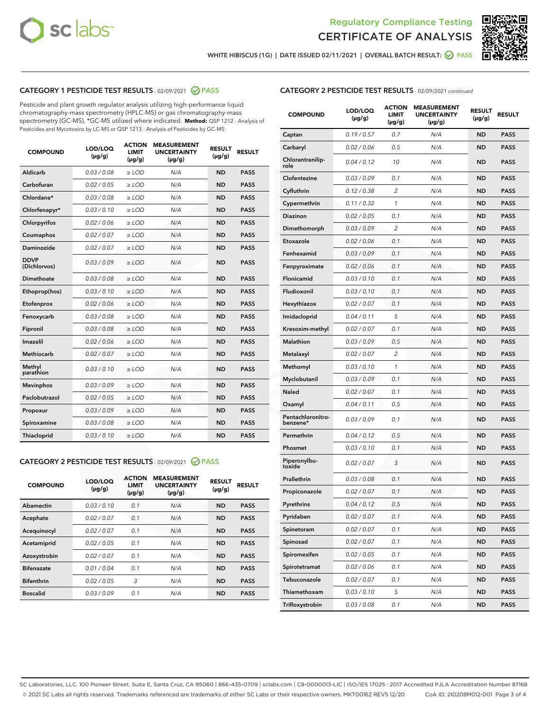



WHITE HIBISCUS (1G) | DATE ISSUED 02/11/2021 | OVERALL BATCH RESULT:  $\bigcirc$  PASS

# CATEGORY 1 PESTICIDE TEST RESULTS - 02/09/2021 2 PASS

Pesticide and plant growth regulator analysis utilizing high-performance liquid chromatography-mass spectrometry (HPLC-MS) or gas chromatography-mass spectrometry (GC-MS). \*GC-MS utilized where indicated. **Method:** QSP 1212 - Analysis of Pesticides and Mycotoxins by LC-MS or QSP 1213 - Analysis of Pesticides by GC-MS

| 0.03 / 0.08<br><b>ND</b><br><b>PASS</b><br>Aldicarb<br>$\ge$ LOD<br>N/A<br>Carbofuran<br>0.02 / 0.05<br>N/A<br>$\ge$ LOD<br><b>ND</b><br><b>PASS</b><br>Chlordane*<br>0.03 / 0.08<br>$\ge$ LOD<br>N/A<br><b>ND</b><br><b>PASS</b><br>Chlorfenapyr*<br>0.03/0.10<br>$\ge$ LOD<br>N/A<br><b>ND</b><br><b>PASS</b><br>0.02 / 0.06<br>N/A<br><b>ND</b><br><b>PASS</b><br>Chlorpyrifos<br>$\ge$ LOD<br>N/A<br>Coumaphos<br>0.02 / 0.07<br><b>ND</b><br><b>PASS</b><br>$\ge$ LOD<br>Daminozide<br>0.02 / 0.07<br>N/A<br><b>ND</b><br><b>PASS</b><br>$\ge$ LOD<br><b>DDVP</b><br>0.03/0.09<br>$>$ LOD<br>N/A<br><b>ND</b><br><b>PASS</b><br>(Dichlorvos)<br>Dimethoate<br>0.03/0.08<br>$\ge$ LOD<br>N/A<br><b>PASS</b><br><b>ND</b><br>0.03 / 0.10<br>N/A<br><b>ND</b><br><b>PASS</b><br>Ethoprop(hos)<br>$>$ LOD<br>0.02 / 0.06<br>N/A<br><b>ND</b><br><b>PASS</b><br>$\ge$ LOD<br>Etofenprox<br>Fenoxycarb<br>0.03/0.08<br>$\ge$ LOD<br>N/A<br><b>ND</b><br><b>PASS</b><br>0.03/0.08<br>$\ge$ LOD<br>N/A<br><b>ND</b><br><b>PASS</b><br>Fipronil<br>Imazalil<br>0.02 / 0.06<br>$>$ LOD<br>N/A<br><b>ND</b><br><b>PASS</b><br><b>Methiocarb</b><br>0.02 / 0.07<br>$\ge$ LOD<br>N/A<br><b>ND</b><br><b>PASS</b><br>Methyl<br>0.03/0.10<br>N/A<br><b>ND</b><br>$\ge$ LOD<br><b>PASS</b><br>parathion<br>0.03/0.09<br><b>Mevinphos</b><br>$\ge$ LOD<br>N/A<br><b>ND</b><br><b>PASS</b><br>Paclobutrazol<br>0.02 / 0.05<br>N/A<br>$>$ LOD<br><b>ND</b><br><b>PASS</b><br>0.03/0.09<br>N/A<br>$\ge$ LOD<br><b>ND</b><br><b>PASS</b><br>Propoxur<br>0.03 / 0.08<br><b>ND</b><br><b>PASS</b><br>Spiroxamine<br>$\ge$ LOD<br>N/A<br>Thiacloprid<br>0.03/0.10<br>N/A<br><b>ND</b><br><b>PASS</b><br>$\ge$ LOD | <b>COMPOUND</b> | LOD/LOQ<br>$(\mu g/g)$ | <b>ACTION</b><br><b>LIMIT</b><br>$(\mu g/g)$ | <b>MEASUREMENT</b><br><b>UNCERTAINTY</b><br>$(\mu g/g)$ | <b>RESULT</b><br>$(\mu g/g)$ | <b>RESULT</b> |
|------------------------------------------------------------------------------------------------------------------------------------------------------------------------------------------------------------------------------------------------------------------------------------------------------------------------------------------------------------------------------------------------------------------------------------------------------------------------------------------------------------------------------------------------------------------------------------------------------------------------------------------------------------------------------------------------------------------------------------------------------------------------------------------------------------------------------------------------------------------------------------------------------------------------------------------------------------------------------------------------------------------------------------------------------------------------------------------------------------------------------------------------------------------------------------------------------------------------------------------------------------------------------------------------------------------------------------------------------------------------------------------------------------------------------------------------------------------------------------------------------------------------------------------------------------------------------------------------------------------------------------------------------------------------------------------------|-----------------|------------------------|----------------------------------------------|---------------------------------------------------------|------------------------------|---------------|
|                                                                                                                                                                                                                                                                                                                                                                                                                                                                                                                                                                                                                                                                                                                                                                                                                                                                                                                                                                                                                                                                                                                                                                                                                                                                                                                                                                                                                                                                                                                                                                                                                                                                                                |                 |                        |                                              |                                                         |                              |               |
|                                                                                                                                                                                                                                                                                                                                                                                                                                                                                                                                                                                                                                                                                                                                                                                                                                                                                                                                                                                                                                                                                                                                                                                                                                                                                                                                                                                                                                                                                                                                                                                                                                                                                                |                 |                        |                                              |                                                         |                              |               |
|                                                                                                                                                                                                                                                                                                                                                                                                                                                                                                                                                                                                                                                                                                                                                                                                                                                                                                                                                                                                                                                                                                                                                                                                                                                                                                                                                                                                                                                                                                                                                                                                                                                                                                |                 |                        |                                              |                                                         |                              |               |
|                                                                                                                                                                                                                                                                                                                                                                                                                                                                                                                                                                                                                                                                                                                                                                                                                                                                                                                                                                                                                                                                                                                                                                                                                                                                                                                                                                                                                                                                                                                                                                                                                                                                                                |                 |                        |                                              |                                                         |                              |               |
|                                                                                                                                                                                                                                                                                                                                                                                                                                                                                                                                                                                                                                                                                                                                                                                                                                                                                                                                                                                                                                                                                                                                                                                                                                                                                                                                                                                                                                                                                                                                                                                                                                                                                                |                 |                        |                                              |                                                         |                              |               |
|                                                                                                                                                                                                                                                                                                                                                                                                                                                                                                                                                                                                                                                                                                                                                                                                                                                                                                                                                                                                                                                                                                                                                                                                                                                                                                                                                                                                                                                                                                                                                                                                                                                                                                |                 |                        |                                              |                                                         |                              |               |
|                                                                                                                                                                                                                                                                                                                                                                                                                                                                                                                                                                                                                                                                                                                                                                                                                                                                                                                                                                                                                                                                                                                                                                                                                                                                                                                                                                                                                                                                                                                                                                                                                                                                                                |                 |                        |                                              |                                                         |                              |               |
|                                                                                                                                                                                                                                                                                                                                                                                                                                                                                                                                                                                                                                                                                                                                                                                                                                                                                                                                                                                                                                                                                                                                                                                                                                                                                                                                                                                                                                                                                                                                                                                                                                                                                                |                 |                        |                                              |                                                         |                              |               |
|                                                                                                                                                                                                                                                                                                                                                                                                                                                                                                                                                                                                                                                                                                                                                                                                                                                                                                                                                                                                                                                                                                                                                                                                                                                                                                                                                                                                                                                                                                                                                                                                                                                                                                |                 |                        |                                              |                                                         |                              |               |
|                                                                                                                                                                                                                                                                                                                                                                                                                                                                                                                                                                                                                                                                                                                                                                                                                                                                                                                                                                                                                                                                                                                                                                                                                                                                                                                                                                                                                                                                                                                                                                                                                                                                                                |                 |                        |                                              |                                                         |                              |               |
|                                                                                                                                                                                                                                                                                                                                                                                                                                                                                                                                                                                                                                                                                                                                                                                                                                                                                                                                                                                                                                                                                                                                                                                                                                                                                                                                                                                                                                                                                                                                                                                                                                                                                                |                 |                        |                                              |                                                         |                              |               |
|                                                                                                                                                                                                                                                                                                                                                                                                                                                                                                                                                                                                                                                                                                                                                                                                                                                                                                                                                                                                                                                                                                                                                                                                                                                                                                                                                                                                                                                                                                                                                                                                                                                                                                |                 |                        |                                              |                                                         |                              |               |
|                                                                                                                                                                                                                                                                                                                                                                                                                                                                                                                                                                                                                                                                                                                                                                                                                                                                                                                                                                                                                                                                                                                                                                                                                                                                                                                                                                                                                                                                                                                                                                                                                                                                                                |                 |                        |                                              |                                                         |                              |               |
|                                                                                                                                                                                                                                                                                                                                                                                                                                                                                                                                                                                                                                                                                                                                                                                                                                                                                                                                                                                                                                                                                                                                                                                                                                                                                                                                                                                                                                                                                                                                                                                                                                                                                                |                 |                        |                                              |                                                         |                              |               |
|                                                                                                                                                                                                                                                                                                                                                                                                                                                                                                                                                                                                                                                                                                                                                                                                                                                                                                                                                                                                                                                                                                                                                                                                                                                                                                                                                                                                                                                                                                                                                                                                                                                                                                |                 |                        |                                              |                                                         |                              |               |
|                                                                                                                                                                                                                                                                                                                                                                                                                                                                                                                                                                                                                                                                                                                                                                                                                                                                                                                                                                                                                                                                                                                                                                                                                                                                                                                                                                                                                                                                                                                                                                                                                                                                                                |                 |                        |                                              |                                                         |                              |               |
|                                                                                                                                                                                                                                                                                                                                                                                                                                                                                                                                                                                                                                                                                                                                                                                                                                                                                                                                                                                                                                                                                                                                                                                                                                                                                                                                                                                                                                                                                                                                                                                                                                                                                                |                 |                        |                                              |                                                         |                              |               |
|                                                                                                                                                                                                                                                                                                                                                                                                                                                                                                                                                                                                                                                                                                                                                                                                                                                                                                                                                                                                                                                                                                                                                                                                                                                                                                                                                                                                                                                                                                                                                                                                                                                                                                |                 |                        |                                              |                                                         |                              |               |
|                                                                                                                                                                                                                                                                                                                                                                                                                                                                                                                                                                                                                                                                                                                                                                                                                                                                                                                                                                                                                                                                                                                                                                                                                                                                                                                                                                                                                                                                                                                                                                                                                                                                                                |                 |                        |                                              |                                                         |                              |               |
|                                                                                                                                                                                                                                                                                                                                                                                                                                                                                                                                                                                                                                                                                                                                                                                                                                                                                                                                                                                                                                                                                                                                                                                                                                                                                                                                                                                                                                                                                                                                                                                                                                                                                                |                 |                        |                                              |                                                         |                              |               |
|                                                                                                                                                                                                                                                                                                                                                                                                                                                                                                                                                                                                                                                                                                                                                                                                                                                                                                                                                                                                                                                                                                                                                                                                                                                                                                                                                                                                                                                                                                                                                                                                                                                                                                |                 |                        |                                              |                                                         |                              |               |

## CATEGORY 2 PESTICIDE TEST RESULTS - 02/09/2021 @ PASS

| <b>COMPOUND</b>   | LOD/LOQ<br>$(\mu g/g)$ | <b>ACTION</b><br><b>LIMIT</b><br>$(\mu g/g)$ | <b>MEASUREMENT</b><br><b>UNCERTAINTY</b><br>$(\mu g/g)$ | <b>RESULT</b><br>$(\mu g/g)$ | <b>RESULT</b> |
|-------------------|------------------------|----------------------------------------------|---------------------------------------------------------|------------------------------|---------------|
| Abamectin         | 0.03/0.10              | 0.1                                          | N/A                                                     | <b>ND</b>                    | <b>PASS</b>   |
| Acephate          | 0.02/0.07              | 0.1                                          | N/A                                                     | <b>ND</b>                    | <b>PASS</b>   |
| Acequinocyl       | 0.02/0.07              | 0.1                                          | N/A                                                     | <b>ND</b>                    | <b>PASS</b>   |
| Acetamiprid       | 0.02/0.05              | 0.1                                          | N/A                                                     | <b>ND</b>                    | <b>PASS</b>   |
| Azoxystrobin      | 0.02/0.07              | 0.1                                          | N/A                                                     | <b>ND</b>                    | <b>PASS</b>   |
| <b>Bifenazate</b> | 0.01/0.04              | 0.1                                          | N/A                                                     | <b>ND</b>                    | <b>PASS</b>   |
| <b>Bifenthrin</b> | 0.02/0.05              | 3                                            | N/A                                                     | <b>ND</b>                    | <b>PASS</b>   |
| <b>Boscalid</b>   | 0.03/0.09              | 0.1                                          | N/A                                                     | <b>ND</b>                    | <b>PASS</b>   |

|--|

| <b>COMPOUND</b>               | LOD/LOQ<br>(µg/g) | <b>ACTION</b><br>LIMIT<br>(µg/g) | <b>MEASUREMENT</b><br><b>UNCERTAINTY</b><br>(µg/g) | <b>RESULT</b><br>(µg/g) | <b>RESULT</b> |
|-------------------------------|-------------------|----------------------------------|----------------------------------------------------|-------------------------|---------------|
| Captan                        | 0.19 / 0.57       | 0.7                              | N/A                                                | <b>ND</b>               | <b>PASS</b>   |
| Carbaryl                      | 0.02 / 0.06       | 0.5                              | N/A                                                | <b>ND</b>               | <b>PASS</b>   |
| Chlorantranilip-<br>role      | 0.04 / 0.12       | 10                               | N/A                                                | ND                      | <b>PASS</b>   |
| Clofentezine                  | 0.03 / 0.09       | 0.1                              | N/A                                                | ND                      | <b>PASS</b>   |
| Cyfluthrin                    | 0.12 / 0.38       | $\overline{c}$                   | N/A                                                | ND                      | <b>PASS</b>   |
| Cypermethrin                  | 0.11 / 0.32       | 1                                | N/A                                                | ND                      | <b>PASS</b>   |
| Diazinon                      | 0.02 / 0.05       | 0.1                              | N/A                                                | ND                      | <b>PASS</b>   |
| Dimethomorph                  | 0.03 / 0.09       | $\overline{2}$                   | N/A                                                | ND                      | PASS          |
| Etoxazole                     | 0.02 / 0.06       | 0.1                              | N/A                                                | ND                      | <b>PASS</b>   |
| Fenhexamid                    | 0.03 / 0.09       | 0.1                              | N/A                                                | ND                      | <b>PASS</b>   |
| Fenpyroximate                 | 0.02 / 0.06       | 0.1                              | N/A                                                | ND                      | PASS          |
| Flonicamid                    | 0.03 / 0.10       | 0.1                              | N/A                                                | ND                      | <b>PASS</b>   |
| Fludioxonil                   | 0.03/0.10         | 0.1                              | N/A                                                | ND                      | <b>PASS</b>   |
| Hexythiazox                   | 0.02 / 0.07       | 0.1                              | N/A                                                | ND                      | PASS          |
| Imidacloprid                  | 0.04 / 0.11       | 5                                | N/A                                                | ND                      | <b>PASS</b>   |
| Kresoxim-methyl               | 0.02 / 0.07       | 0.1                              | N/A                                                | ND                      | <b>PASS</b>   |
| <b>Malathion</b>              | 0.03 / 0.09       | 0.5                              | N/A                                                | ND                      | PASS          |
| Metalaxyl                     | 0.02 / 0.07       | 2                                | N/A                                                | ND                      | <b>PASS</b>   |
| Methomyl                      | 0.03 / 0.10       | 1                                | N/A                                                | ND                      | <b>PASS</b>   |
| Myclobutanil                  | 0.03 / 0.09       | 0.1                              | N/A                                                | ND                      | PASS          |
| Naled                         | 0.02 / 0.07       | 0.1                              | N/A                                                | ND                      | <b>PASS</b>   |
| Oxamyl                        | 0.04 / 0.11       | 0.5                              | N/A                                                | ND                      | PASS          |
| Pentachloronitro-<br>benzene* | 0.03 / 0.09       | 0.1                              | N/A                                                | ND                      | PASS          |
| Permethrin                    | 0.04 / 0.12       | 0.5                              | N/A                                                | ND                      | PASS          |
| Phosmet                       | 0.03 / 0.10       | 0.1                              | N/A                                                | ND                      | PASS          |
| Piperonylbu-<br>toxide        | 0.02 / 0.07       | 3                                | N/A                                                | ND                      | PASS          |
| Prallethrin                   | 0.03 / 0.08       | 0.1                              | N/A                                                | ND                      | <b>PASS</b>   |
| Propiconazole                 | 0.02 / 0.07       | 0.1                              | N/A                                                | ND                      | <b>PASS</b>   |
| Pyrethrins                    | 0.04 / 0.12       | 0.5                              | N/A                                                | ND,                     | PASS          |
| Pyridaben                     | 0.02 / 0.07       | 0.1                              | N/A                                                | ND                      | PASS          |
| Spinetoram                    | 0.02 / 0.07       | 0.1                              | N/A                                                | ND                      | <b>PASS</b>   |
| Spinosad                      | 0.02 / 0.07       | 0.1                              | N/A                                                | ND                      | <b>PASS</b>   |
| Spiromesifen                  | 0.02 / 0.05       | 0.1                              | N/A                                                | ND                      | <b>PASS</b>   |
| Spirotetramat                 | 0.02 / 0.06       | 0.1                              | N/A                                                | ND                      | <b>PASS</b>   |
| Tebuconazole                  | 0.02 / 0.07       | 0.1                              | N/A                                                | ND                      | <b>PASS</b>   |
| Thiamethoxam                  | 0.03 / 0.10       | 5                                | N/A                                                | ND                      | <b>PASS</b>   |
| Trifloxystrobin               | 0.03 / 0.08       | 0.1                              | N/A                                                | ND                      | <b>PASS</b>   |